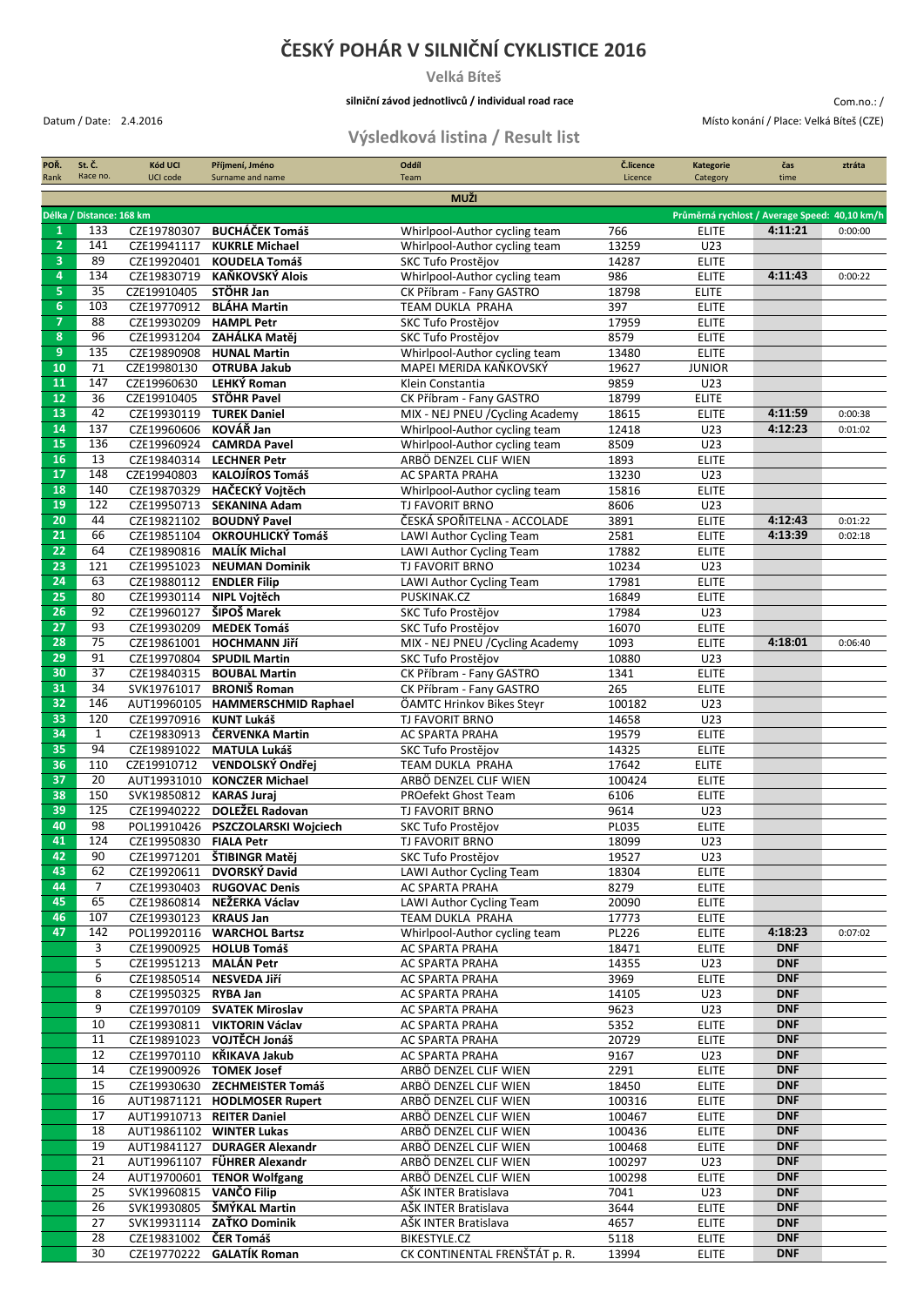## **ČESKÝ POHÁR V SILNIČNÍ CYKLISTICE 2016**

**Velká Bíteš**

#### **silniční závod jednotlivců / individual road race**

Com.no.: / Datum / Date: 2.4.2016 Místo konání / Place: Velká Bíteš (CZE)

### **Výsledková listina / Result list**

| POŘ.<br>Rank                                                              | St. Č.<br>Race no.                 | Kód UCI<br>UCI code                     | Příjmení, Jméno<br>Surname and name                       | Oddíl<br>Team                                             | Č.licence<br>Licence | <b>Kategorie</b><br>Category | čas<br>time              | ztráta  |
|---------------------------------------------------------------------------|------------------------------------|-----------------------------------------|-----------------------------------------------------------|-----------------------------------------------------------|----------------------|------------------------------|--------------------------|---------|
|                                                                           |                                    |                                         |                                                           | <b>MUŽI</b>                                               |                      |                              |                          |         |
| Délka / Distance: 168 km<br>Průměrná rychlost / Average Speed: 40,10 km/h |                                    |                                         |                                                           |                                                           |                      |                              |                          |         |
| 1                                                                         | 133                                | CZE19780307                             | <b>BUCHÁČEK Tomáš</b>                                     | Whirlpool-Author cycling team                             | 766                  | <b>ELITE</b>                 | 4:11:21                  | 0:00:00 |
| $\overline{2}$                                                            | 141                                | CZE19941117                             | <b>KUKRLE Michael</b>                                     | Whirlpool-Author cycling team                             | 13259                | U23                          |                          |         |
| 3<br>$\overline{4}$                                                       | 89<br>134                          | CZE19920401                             | <b>KOUDELA Tomáš</b><br><b>KAŇKOVSKÝ Alois</b>            | SKC Tufo Prostějov                                        | 14287<br>986         | <b>ELITE</b>                 | 4:11:43                  |         |
| 5                                                                         | 35                                 | CZE19830719<br>CZE19910405              | STÖHR Jan                                                 | Whirlpool-Author cycling team<br>CK Příbram - Fany GASTRO | 18798                | <b>ELITE</b><br><b>ELITE</b> |                          | 0:00:22 |
| $6\phantom{a}$                                                            | 103                                |                                         | CZE19770912 BLÁHA Martin                                  | TEAM DUKLA PRAHA                                          | 397                  | <b>ELITE</b>                 |                          |         |
| $\overline{7}$                                                            | 88                                 | CZE19930209                             | <b>HAMPL Petr</b>                                         | SKC Tufo Prostějov                                        | 17959                | <b>ELITE</b>                 |                          |         |
| 8                                                                         | 96                                 |                                         | CZE19931204 ZAHÁLKA Matěj                                 | SKC Tufo Prostějov                                        | 8579                 | <b>ELITE</b>                 |                          |         |
| 9                                                                         | 135                                | CZE19890908                             | <b>HUNAL Martin</b>                                       | Whirlpool-Author cycling team                             | 13480                | <b>ELITE</b>                 |                          |         |
| 10<br>11                                                                  | $\overline{71}$<br>147             | CZE19980130<br>CZE19960630              | <b>OTRUBA Jakub</b><br>LEHKÝ Roman                        | MAPEI MERIDA KAŇKOVSKÝ<br>Klein Constantia                | 19627<br>9859        | <b>JUNIOR</b><br>U23         |                          |         |
| 12 <sup>2</sup>                                                           | 36                                 | CZE19910405                             | STÖHR Pavel                                               | CK Příbram - Fany GASTRO                                  | 18799                | <b>ELITE</b>                 |                          |         |
| 13                                                                        | 42                                 |                                         | CZE19930119 TUREK Daniel                                  | MIX - NEJ PNEU / Cycling Academy                          | 18615                | <b>ELITE</b>                 | 4:11:59                  | 0:00:38 |
| 14                                                                        | 137                                | CZE19960606 KOVÁŘ Jan                   |                                                           | Whirlpool-Author cycling team                             | 12418                | U23                          | 4:12:23                  | 0:01:02 |
| 15                                                                        | 136                                | CZE19960924                             | <b>CAMRDA Pavel</b>                                       | Whirlpool-Author cycling team                             | 8509                 | U23                          |                          |         |
| 16<br>17                                                                  | 13<br>148                          | CZE19940803                             | CZE19840314 LECHNER Petr<br><b>KALOJÍROS Tomáš</b>        | ARBÖ DENZEL CLIF WIEN                                     | 1893<br>13230        | <b>ELITE</b><br>U23          |                          |         |
| 18                                                                        | 140                                | CZE19870329                             | HAČECKÝ Vojtěch                                           | AC SPARTA PRAHA<br>Whirlpool-Author cycling team          | 15816                | <b>ELITE</b>                 |                          |         |
| 19                                                                        | 122                                |                                         | CZE19950713 SEKANINA Adam                                 | TJ FAVORIT BRNO                                           | 8606                 | U23                          |                          |         |
| 20                                                                        | 44                                 | CZE19821102                             | <b>BOUDNÝ Pavel</b>                                       | ČESKÁ SPOŘITELNA - ACCOLADE                               | 3891                 | <b>ELITE</b>                 | 4:12:43                  | 0:01:22 |
| 21                                                                        | 66                                 | CZE19851104                             | OKROUHLICKÝ Tomáš                                         | LAWI Author Cycling Team                                  | 2581                 | <b>ELITE</b>                 | 4:13:39                  | 0:02:18 |
| 22                                                                        | 64                                 | CZE19890816                             | MALÍK Michal                                              | LAWI Author Cycling Team                                  | 17882                | <b>ELITE</b>                 |                          |         |
| 23<br>24                                                                  | 121<br>63                          | CZE19951023                             | <b>NEUMAN Dominik</b>                                     | <b>TJ FAVORIT BRNO</b>                                    | 10234<br>17981       | U23<br><b>ELITE</b>          |                          |         |
| 25                                                                        | 80                                 | CZE19880112 ENDLER Filip<br>CZE19930114 | NIPL Vojtěch                                              | LAWI Author Cycling Team<br>PUSKINAK.CZ                   | 16849                | <b>ELITE</b>                 |                          |         |
| 26                                                                        | 92                                 | CZE19960127                             | ŠIPOŠ Marek                                               | SKC Tufo Prostějov                                        | 17984                | U23                          |                          |         |
| 27                                                                        | $\overline{93}$                    | CZE19930209                             | <b>MEDEK Tomáš</b>                                        | SKC Tufo Prostějov                                        | 16070                | <b>ELITE</b>                 |                          |         |
| 28                                                                        | 75                                 | CZE19861001                             | <b>HOCHMANN Jiří</b>                                      | MIX - NEJ PNEU / Cycling Academy                          | 1093                 | <b>ELITE</b>                 | 4:18:01                  | 0:06:40 |
| 29                                                                        | 91                                 |                                         | CZE19970804 SPUDIL Martin                                 | SKC Tufo Prostějov                                        | 10880                | U23                          |                          |         |
| 30<br>31                                                                  | $\overline{37}$<br>$\overline{34}$ | SVK19761017                             | CZE19840315 BOUBAL Martin<br><b>BRONIŠ Roman</b>          | CK Příbram - Fany GASTRO<br>CK Příbram - Fany GASTRO      | 1341<br>265          | <b>ELITE</b><br><b>ELITE</b> |                          |         |
| 32                                                                        | 146                                |                                         | AUT19960105 HAMMERSCHMID Raphael                          | ÖAMTC Hrinkov Bikes Steyr                                 | 100182               | U23                          |                          |         |
| 33                                                                        | 120                                | CZE19970916 KUNT Lukáš                  |                                                           | TJ FAVORIT BRNO                                           | 14658                | U23                          |                          |         |
| 34                                                                        | $\mathbf{1}$                       | CZE19830913                             | ČERVENKA Martin                                           | AC SPARTA PRAHA                                           | 19579                | <b>ELITE</b>                 |                          |         |
| 35                                                                        | 94                                 | CZE19891022                             | <b>MATULA Lukáš</b>                                       | SKC Tufo Prostějov                                        | 14325                | <b>ELITE</b>                 |                          |         |
| 36                                                                        | 110                                | CZE19910712                             | VENDOLSKÝ Ondřej                                          | TEAM DUKLA PRAHA                                          | 17642                | <b>ELITE</b>                 |                          |         |
| 37<br>38                                                                  | 20<br>150                          | SVK19850812 KARAS Juraj                 | AUT19931010 KONCZER Michael                               | ARBÖ DENZEL CLIF WIEN<br>PROefekt Ghost Team              | 100424<br>6106       | <b>ELITE</b><br><b>ELITE</b> |                          |         |
| 39                                                                        | 125                                | CZE19940222                             | <b>DOLEŽEL Radovan</b>                                    | TJ FAVORIT BRNO                                           | 9614                 | U23                          |                          |         |
| 40                                                                        | 98                                 |                                         | POL19910426 PSZCZOLARSKI Wojciech                         | SKC Tufo Prostějov                                        | PL035                | <b>ELITE</b>                 |                          |         |
| 41                                                                        | 124                                | CZE19950830                             | <b>FIALA Petr</b>                                         | TJ FAVORIT BRNO                                           | 18099                | U23                          |                          |         |
| 42                                                                        | 90                                 |                                         | CZE19971201 ŠTIBINGR Matěj                                | SKC Tufo Prostějov                                        | 19527                | U23                          |                          |         |
| 43<br>44                                                                  | 62<br>7                            |                                         | CZE19920611 DVORSKÝ David<br>CZE19930403 RUGOVAC Denis    | LAWI Author Cycling Team<br>AC SPARTA PRAHA               | 18304<br>8279        | <b>ELITE</b><br><b>ELITE</b> |                          |         |
| 45                                                                        | 65                                 |                                         | CZE19860814 NEŽERKA Václav                                | LAWI Author Cycling Team                                  | 20090                | <b>ELITE</b>                 |                          |         |
| 46                                                                        | 107                                | CZE19930123 KRAUS Jan                   |                                                           | TEAM DUKLA PRAHA                                          | 17773                | <b>ELITE</b>                 |                          |         |
| 47                                                                        | 142                                |                                         | POL19920116 WARCHOL Bartsz                                | Whirlpool-Author cycling team                             | PL226                | <b>ELITE</b>                 | 4:18:23                  | 0:07:02 |
|                                                                           | 3                                  |                                         | CZE19900925 HOLUB Tomáš                                   | AC SPARTA PRAHA                                           | 18471                | <b>ELITE</b>                 | <b>DNF</b>               |         |
|                                                                           | 5<br>6                             | CZE19951213 MALÁN Petr                  | CZE19850514 NESVEDA Jiří                                  | AC SPARTA PRAHA<br>AC SPARTA PRAHA                        | 14355<br>3969        | U23<br><b>ELITE</b>          | <b>DNF</b><br><b>DNF</b> |         |
|                                                                           | 8                                  | CZE19950325 RYBA Jan                    |                                                           | AC SPARTA PRAHA                                           | 14105                | U23                          | <b>DNF</b>               |         |
|                                                                           | 9                                  |                                         | CZE19970109 SVATEK Miroslav                               | AC SPARTA PRAHA                                           | 9623                 | U23                          | <b>DNF</b>               |         |
|                                                                           | 10                                 |                                         | CZE19930811 VIKTORIN Václav                               | AC SPARTA PRAHA                                           | 5352                 | <b>ELITE</b>                 | <b>DNF</b>               |         |
|                                                                           | 11                                 |                                         | CZE19891023 VOJTĚCH Jonáš                                 | AC SPARTA PRAHA                                           | 20729                | <b>ELITE</b>                 | <b>DNF</b>               |         |
|                                                                           | 12                                 |                                         | CZE19970110 KŘIKAVA Jakub                                 | AC SPARTA PRAHA                                           | 9167                 | U23                          | <b>DNF</b>               |         |
|                                                                           | 14<br>15                           |                                         | CZE19900926 TOMEK Josef<br>CZE19930630 ZECHMEISTER Tomáš  | ARBÖ DENZEL CLIF WIEN<br>ARBÖ DENZEL CLIF WIEN            | 2291<br>18450        | <b>ELITE</b><br><b>ELITE</b> | <b>DNF</b><br><b>DNF</b> |         |
|                                                                           | 16                                 |                                         | AUT19871121 HODLMOSER Rupert                              | ARBÖ DENZEL CLIF WIEN                                     | 100316               | <b>ELITE</b>                 | <b>DNF</b>               |         |
|                                                                           | 17                                 |                                         | AUT19910713 REITER Daniel                                 | ARBÖ DENZEL CLIF WIEN                                     | 100467               | <b>ELITE</b>                 | <b>DNF</b>               |         |
|                                                                           | 18                                 |                                         | AUT19861102 WINTER Lukas                                  | ARBÖ DENZEL CLIF WIEN                                     | 100436               | <b>ELITE</b>                 | <b>DNF</b>               |         |
|                                                                           | 19                                 |                                         | AUT19841127 DURAGER Alexandr                              | ARBÖ DENZEL CLIF WIEN                                     | 100468               | <b>ELITE</b>                 | <b>DNF</b>               |         |
|                                                                           | 21<br>24                           |                                         | AUT19961107 FÜHRER Alexandr<br>AUT19700601 TENOR Wolfgang | ARBÖ DENZEL CLIF WIEN<br>ARBÖ DENZEL CLIF WIEN            | 100297<br>100298     | U23<br><b>ELITE</b>          | <b>DNF</b><br><b>DNF</b> |         |
|                                                                           | 25                                 | SVK19960815 VANČO Filip                 |                                                           | AŠK INTER Bratislava                                      | 7041                 | U23                          | <b>DNF</b>               |         |
|                                                                           | 26                                 |                                         | SVK19930805 ŠMÝKAL Martin                                 | AŠK INTER Bratislava                                      | 3644                 | <b>ELITE</b>                 | <b>DNF</b>               |         |
|                                                                           | 27                                 |                                         | SVK19931114 ZAŤKO Dominik                                 | AŠK INTER Bratislava                                      | 4657                 | <b>ELITE</b>                 | <b>DNF</b>               |         |
|                                                                           | 28                                 | CZE19831002 ČER Tomáš                   |                                                           | BIKESTYLE.CZ                                              | 5118                 | <b>ELITE</b>                 | <b>DNF</b>               |         |
|                                                                           | 30                                 |                                         | CZE19770222 GALATÍK Roman                                 | CK CONTINENTAL FRENŠTÁT p. R.                             | 13994                | <b>ELITE</b>                 | <b>DNF</b>               |         |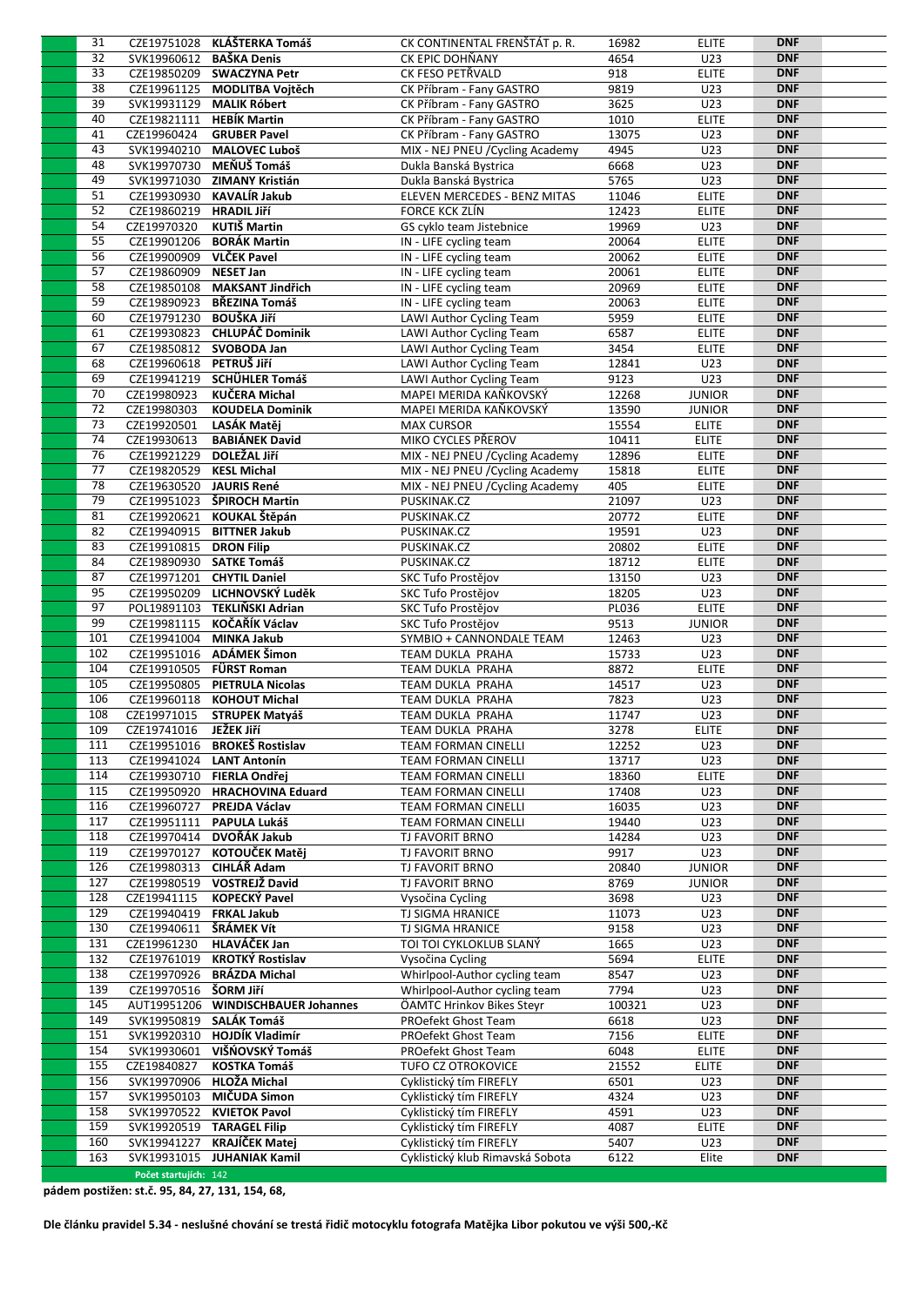| 31  |                          | CZE19751028 KLÁŠTERKA Tomáš        | CK CONTINENTAL FRENSTAT p. R.    | 16982  | <b>ELITE</b>  | <b>DNF</b> |  |
|-----|--------------------------|------------------------------------|----------------------------------|--------|---------------|------------|--|
| 32  | SVK19960612 BAŠKA Denis  |                                    | CK EPIC DOHŇANY                  | 4654   | U23           | <b>DNF</b> |  |
| 33  |                          | CZE19850209 SWACZYNA Petr          | CK FESO PETŘVALD                 | 918    | <b>ELITE</b>  | <b>DNF</b> |  |
| 38  |                          | CZE19961125 MODLITBA Vojtěch       | CK Příbram - Fany GASTRO         | 9819   | U23           | <b>DNF</b> |  |
| 39  |                          | SVK19931129 MALIK Róbert           | CK Příbram - Fany GASTRO         | 3625   | U23           | <b>DNF</b> |  |
| 40  |                          | CZE19821111 HEBÍK Martin           | CK Příbram - Fany GASTRO         | 1010   | <b>ELITE</b>  | <b>DNF</b> |  |
| 41  | CZE19960424              | <b>GRUBER Pavel</b>                | CK Příbram - Fany GASTRO         | 13075  | U23           | <b>DNF</b> |  |
| 43  |                          | SVK19940210 MALOVEC Luboš          | MIX - NEJ PNEU / Cycling Academy | 4945   | U23           | <b>DNF</b> |  |
| 48  |                          | SVK19970730 MEŇUŠ Tomáš            | Dukla Banská Bystrica            | 6668   | U23           | <b>DNF</b> |  |
| 49  |                          | SVK19971030 ZIMANY Kristián        | Dukla Banská Bystrica            | 5765   | U23           | <b>DNF</b> |  |
| 51  |                          | CZE19930930 KAVALÍR Jakub          | ELEVEN MERCEDES - BENZ MITAS     | 11046  | <b>ELITE</b>  | <b>DNF</b> |  |
| 52  | CZE19860219 HRADIL Jiří  |                                    | FORCE KCK ZLÍN                   | 12423  | <b>ELITE</b>  | <b>DNF</b> |  |
| 54  | CZE19970320              | KUTIŠ Martin                       | GS cyklo team Jistebnice         | 19969  | U23           | <b>DNF</b> |  |
| 55  |                          | CZE19901206 BORÁK Martin           | IN - LIFE cycling team           | 20064  | <b>ELITE</b>  | <b>DNF</b> |  |
| 56  | CZE19900909 VLČEK Pavel  |                                    |                                  |        |               | <b>DNF</b> |  |
| 57  |                          |                                    | IN - LIFE cycling team           | 20062  | <b>ELITE</b>  | <b>DNF</b> |  |
|     | CZE19860909 NESET Jan    |                                    | IN - LIFE cycling team           | 20061  | <b>ELITE</b>  |            |  |
| 58  |                          | CZE19850108 MAKSANT Jindřich       | IN - LIFE cycling team           | 20969  | <b>ELITE</b>  | <b>DNF</b> |  |
| 59  |                          | CZE19890923 BŘEZINA Tomáš          | IN - LIFE cycling team           | 20063  | <b>ELITE</b>  | <b>DNF</b> |  |
| 60  | CZE19791230 BOUŠKA Jiří  |                                    | LAWI Author Cycling Team         | 5959   | <b>ELITE</b>  | <b>DNF</b> |  |
| 61  |                          | CZE19930823 CHLUPÁČ Dominik        | LAWI Author Cycling Team         | 6587   | <b>ELITE</b>  | <b>DNF</b> |  |
| 67  |                          | CZE19850812 SVOBODA Jan            | LAWI Author Cycling Team         | 3454   | <b>ELITE</b>  | <b>DNF</b> |  |
| 68  | CZE19960618 PETRUŠ JIří  |                                    | LAWI Author Cycling Team         | 12841  | U23           | <b>DNF</b> |  |
| 69  |                          | CZE19941219 SCHÜHLER Tomáš         | LAWI Author Cycling Team         | 9123   | U23           | <b>DNF</b> |  |
| 70  | CZE19980923              | KUČERA Michal                      | MAPEI MERIDA KAŇKOVSKÝ           | 12268  | <b>JUNIOR</b> | <b>DNF</b> |  |
| 72  | CZE19980303              | <b>KOUDELA Dominik</b>             | MAPEI MERIDA KAŇKOVSKÝ           | 13590  | <b>JUNIOR</b> | <b>DNF</b> |  |
| 73  | CZE19920501 LASÁK Matěj  |                                    | <b>MAX CURSOR</b>                | 15554  | <b>ELITE</b>  | <b>DNF</b> |  |
| 74  | CZE19930613              | <b>BABIÁNEK David</b>              | MIKO CYCLES PŘEROV               | 10411  | <b>ELITE</b>  | <b>DNF</b> |  |
| 76  | CZE19921229 DOLEŽAL JIří |                                    | MIX - NEJ PNEU / Cycling Academy | 12896  | <b>ELITE</b>  | <b>DNF</b> |  |
| 77  | CZE19820529 KESL Michal  |                                    | MIX - NEJ PNEU / Cycling Academy | 15818  | <b>ELITE</b>  | <b>DNF</b> |  |
| 78  | CZE19630520 JAURIS René  |                                    | MIX - NEJ PNEU / Cycling Academy | 405    | <b>ELITE</b>  | <b>DNF</b> |  |
| 79  |                          | CZE19951023 ŠPIROCH Martin         | PUSKINAK.CZ                      | 21097  | U23           | <b>DNF</b> |  |
| 81  |                          | CZE19920621 KOUKAL Štěpán          | PUSKINAK.CZ                      | 20772  | <b>ELITE</b>  | <b>DNF</b> |  |
| 82  |                          | CZE19940915 BITTNER Jakub          | PUSKINAK.CZ                      | 19591  | U23           | <b>DNF</b> |  |
| 83  | CZE19910815 DRON Filip   |                                    | PUSKINAK.CZ                      | 20802  | <b>ELITE</b>  | <b>DNF</b> |  |
|     |                          |                                    |                                  |        |               | <b>DNF</b> |  |
| 84  |                          | CZE19890930 SATKE Tomáš            | PUSKINAK.CZ                      | 18712  | <b>ELITE</b>  |            |  |
| 87  |                          | CZE19971201 CHYTIL Daniel          | SKC Tufo Prostějov               | 13150  | U23           | <b>DNF</b> |  |
| 95  |                          | CZE19950209 LICHNOVSKÝ Luděk       | SKC Tufo Prostějov               | 18205  | U23           | <b>DNF</b> |  |
| 97  |                          | POL19891103 TEKLIŇSKI Adrian       | SKC Tufo Prostějov               | PL036  | <b>ELITE</b>  | <b>DNF</b> |  |
| 99  |                          | CZE19981115 KOČAŘÍK Václav         | SKC Tufo Prostějov               | 9513   | <b>JUNIOR</b> | <b>DNF</b> |  |
| 101 | CZE19941004 MINKA Jakub  |                                    | SYMBIO + CANNONDALE TEAM         | 12463  | U23           | <b>DNF</b> |  |
| 102 |                          | CZE19951016 ADÁMEK Šimon           | TEAM DUKLA PRAHA                 | 15733  | U23           | <b>DNF</b> |  |
| 104 |                          | CZE19910505 FÜRST Roman            | TEAM DUKLA PRAHA                 | 8872   | <b>ELITE</b>  | <b>DNF</b> |  |
| 105 |                          | CZE19950805 PIETRULA Nicolas       | TEAM DUKLA PRAHA                 | 14517  | U23           | <b>DNF</b> |  |
| 106 |                          | CZE19960118 KOHOUT Michal          | TEAM DUKLA PRAHA                 | 7823   | U23           | <b>DNF</b> |  |
| 108 | CZE19971015              | <b>STRUPEK Matyáš</b>              | TEAM DUKLA PRAHA                 | 11747  | U23           | <b>DNF</b> |  |
| 109 | CZE19741016              | JEŽEK Jiří                         | TEAM DUKLA PRAHA                 | 3278   | <b>ELITE</b>  | <b>DNF</b> |  |
| 111 |                          | CZE19951016 BROKEŠ Rostislav       | <b>TEAM FORMAN CINELLI</b>       | 12252  | U23           | <b>DNF</b> |  |
| 113 |                          | CZE19941024 LANT Antonín           | <b>TEAM FORMAN CINELLI</b>       | 13717  | U23           | <b>DNF</b> |  |
| 114 |                          | CZE19930710 FIERLA Ondřei          | <b>TEAM FORMAN CINELLI</b>       | 18360  | <b>ELITE</b>  | <b>DNF</b> |  |
| 115 |                          | CZE19950920 HRACHOVINA Eduard      | <b>TEAM FORMAN CINELLI</b>       | 17408  | U23           | <b>DNF</b> |  |
| 116 |                          | CZE19960727 PREJDA Václav          | <b>TEAM FORMAN CINELLI</b>       | 16035  | U23           | <b>DNF</b> |  |
| 117 |                          | CZE19951111 PAPULA Lukáš           | <b>TEAM FORMAN CINELLI</b>       | 19440  | U23           | <b>DNF</b> |  |
| 118 |                          | CZE19970414 DVOŘÁK Jakub           | TJ FAVORIT BRNO                  | 14284  | U23           | <b>DNF</b> |  |
| 119 |                          | CZE19970127 KOTOUČEK Matěj         | TJ FAVORIT BRNO                  | 9917   | U23           | <b>DNF</b> |  |
| 126 |                          | CZE19980313 CIHLÁŘ Adam            | TJ FAVORIT BRNO                  | 20840  | <b>JUNIOR</b> | <b>DNF</b> |  |
| 127 |                          | CZE19980519 VOSTREJŽ David         | TJ FAVORIT BRNO                  | 8769   | <b>JUNIOR</b> | <b>DNF</b> |  |
| 128 |                          |                                    |                                  |        |               | <b>DNF</b> |  |
|     | CZE19941115              | KOPECKÝ Pavel                      | Vysočina Cycling                 | 3698   | U23           |            |  |
| 129 | CZE19940419 FRKAL Jakub  |                                    | TJ SIGMA HRANICE                 | 11073  | U23           | <b>DNF</b> |  |
| 130 | CZE19940611 ŠRÁMEK Vít   |                                    | <b>TJ SIGMA HRANICE</b>          | 9158   | U23           | <b>DNF</b> |  |
| 131 |                          | CZE19961230 HLAVÁČEK Jan           | TOI TOI CYKLOKLUB SLANÝ          | 1665   | U23           | <b>DNF</b> |  |
| 132 |                          | CZE19761019 KROTKÝ Rostislav       | Vysočina Cycling                 | 5694   | <b>ELITE</b>  | <b>DNF</b> |  |
| 138 |                          | CZE19970926 BRÁZDA Michal          | Whirlpool-Author cycling team    | 8547   | U23           | <b>DNF</b> |  |
| 139 | CZE19970516 ŠORM JIří    |                                    | Whirlpool-Author cycling team    | 7794   | U23           | <b>DNF</b> |  |
| 145 |                          | AUT19951206 WINDISCHBAUER Johannes | ÖAMTC Hrinkov Bikes Steyr        | 100321 | U23           | <b>DNF</b> |  |
| 149 |                          | SVK19950819 SALÁK Tomáš            | PROefekt Ghost Team              | 6618   | U23           | <b>DNF</b> |  |
| 151 |                          | SVK19920310 HOJDÍK Vladimír        | PROefekt Ghost Team              | 7156   | <b>ELITE</b>  | <b>DNF</b> |  |
| 154 |                          | SVK19930601 VIŠŃOVSKÝ Tomáš        | PROefekt Ghost Team              | 6048   | <b>ELITE</b>  | <b>DNF</b> |  |
| 155 | CZE19840827              | <b>KOSTKA Tomáš</b>                | TUFO CZ OTROKOVICE               | 21552  | <b>ELITE</b>  | <b>DNF</b> |  |
| 156 |                          | SVK19970906 HLOŽA Michal           | Cyklistický tím FIREFLY          | 6501   | U23           | <b>DNF</b> |  |
| 157 |                          | SVK19950103 MIČUDA Simon           | Cyklistický tím FIREFLY          | 4324   | U23           | <b>DNF</b> |  |
| 158 |                          | SVK19970522 KVIETOK Pavol          | Cyklistický tím FIREFLY          | 4591   | U23           | <b>DNF</b> |  |
| 159 |                          | SVK19920519 TARAGEL Filip          | Cyklistický tím FIREFLY          | 4087   | <b>ELITE</b>  | <b>DNF</b> |  |
|     |                          |                                    |                                  |        |               |            |  |
|     |                          |                                    |                                  |        |               |            |  |
| 160 | SVK19941227              | KRAJÍČEK Matej                     | Cyklistický tím FIREFLY          | 5407   | U23           | <b>DNF</b> |  |
| 163 | Počet startujích: 142    | SVK19931015 JUHANIAK Kamil         | Cyklistický klub Rimavská Sobota | 6122   | Elite         | <b>DNF</b> |  |

**pádem postižen: st.č. 95, 84, 27, 131, 154, 68,**

**Dle článku pravidel 5.34 - neslušné chování se trestá řidič motocyklu fotografa Matějka Libor pokutou ve výši 500,-Kč**